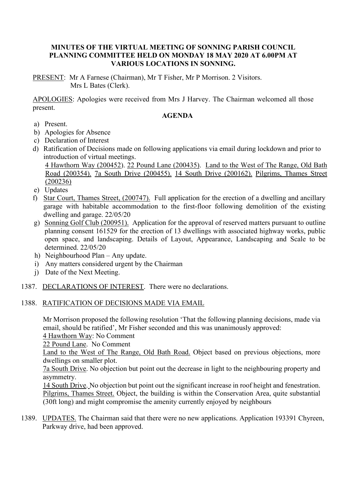## **MINUTES OF THE VIRTUAL MEETING OF SONNING PARISH COUNCIL PLANNING COMMITTEE HELD ON MONDAY 18 MAY 2020 AT 6.00PM AT VARIOUS LOCATIONS IN SONNING.**

PRESENT: Mr A Farnese (Chairman), Mr T Fisher, Mr P Morrison. 2 Visitors. Mrs L Bates (Clerk).

APOLOGIES: Apologies were received from Mrs J Harvey. The Chairman welcomed all those present.

### **AGENDA**

- a) Present.
- b) Apologies for Absence
- c) Declaration of Interest
- d) Ratification of Decisions made on following applications via email during lockdown and prior to introduction of virtual meetings.
	- 4 Hawthorn Way (200452). 22 Pound Lane (200435). Land to the West of The Range, Old Bath Road (200354). 7a South Drive (200455). 14 South Drive (200162). Pilgrims, Thames Street (200236)
- e) Updates
- f) Star Court, Thames Street, (200747). Full application for the erection of a dwelling and ancillary garage with habitable accommodation to the first-floor following demolition of the existing dwelling and garage. 22/05/20
- g) Sonning Golf Club (200951). Application for the approval of reserved matters pursuant to outline planning consent 161529 for the erection of 13 dwellings with associated highway works, public open space, and landscaping. Details of Layout, Appearance, Landscaping and Scale to be determined. 22/05/20
- h) Neighbourhood Plan Any update.
- i) Any matters considered urgent by the Chairman
- j) Date of the Next Meeting.
- 1387. DECLARATIONS OF INTEREST. There were no declarations.

#### 1388. RATIFICATION OF DECISIONS MADE VIA EMAIL

Mr Morrison proposed the following resolution 'That the following planning decisions, made via email, should be ratified', Mr Fisher seconded and this was unanimously approved:

4 Hawthorn Way: No Comment

22 Pound Lane. No Comment

Land to the West of The Range, Old Bath Road. Object based on previous objections, more dwellings on smaller plot.

7a South Drive. No objection but point out the decrease in light to the neighbouring property and asymmetry.

14 South Drive. No objection but point out the significant increase in roof height and fenestration. Pilgrims, Thames Street. Object, the building is within the Conservation Area, quite substantial (30ft long) and might compromise the amenity currently enjoyed by neighbours

1389. UPDATES. The Chairman said that there were no new applications. Application 193391 Chyreen, Parkway drive, had been approved.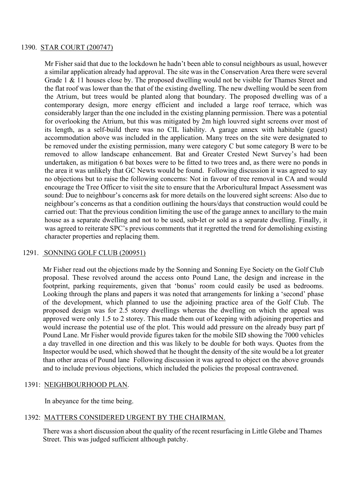#### 1390. STAR COURT (200747)

Mr Fisher said that due to the lockdown he hadn't been able to consul neighbours as usual, however a similar application already had approval. The site was in the Conservation Area there were several Grade 1 & 11 houses close by. The proposed dwelling would not be visible for Thames Street and the flat roof was lower than the that of the existing dwelling. The new dwelling would be seen from the Atrium, but trees would be planted along that boundary. The proposed dwelling was of a contemporary design, more energy efficient and included a large roof terrace, which was considerably larger than the one included in the existing planning permission. There was a potential for overlooking the Atrium, but this was mitigated by 2m high louvred sight screens over most of its length, as a self-build there was no CIL liability. A garage annex with habitable (guest) accommodation above was included in the application. Many trees on the site were designated to be removed under the existing permission, many were category C but some category B were to be removed to allow landscape enhancement. Bat and Greater Crested Newt Survey's had been undertaken, as mitigation 6 bat boxes were to be fitted to two trees and, as there were no ponds in the area it was unlikely that GC Newts would be found. Following discussion it was agreed to say no objections but to raise the following concerns: Not in favour of tree removal in CA and would encourage the Tree Officer to visit the site to ensure that the Arboricultural Impact Assessment was sound: Due to neighbour's concerns ask for more details on the louvered sight screens: Also due to neighbour's concerns as that a condition outlining the hours/days that construction would could be carried out: That the previous condition limiting the use of the garage annex to ancillary to the main house as a separate dwelling and not to be used, sub-let or sold as a separate dwelling. Finally, it was agreed to reiterate SPC's previous comments that it regretted the trend for demolishing existing character properties and replacing them.

### 1291. SONNING GOLF CLUB (200951)

Mr Fisher read out the objections made by the Sonning and Sonning Eye Society on the Golf Club proposal. These revolved around the access onto Pound Lane, the design and increase in the footprint, parking requirements, given that 'bonus' room could easily be used as bedrooms. Looking through the plans and papers it was noted that arrangements for linking a 'second' phase of the development, which planned to use the adjoining practice area of the Golf Club. The proposed design was for 2.5 storey dwellings whereas the dwelling on which the appeal was approved were only 1.5 to 2 storey. This made them out of keeping with adjoining properties and would increase the potential use of the plot. This would add pressure on the already busy part pf Pound Lane. Mr Fisher would provide figures taken for the mobile SID showing the 7000 vehicles a day travelled in one direction and this was likely to be double for both ways. Quotes from the Inspector would be used, which showed that he thought the density of the site would be a lot greater than other areas of Pound lane Following discussion it was agreed to object on the above grounds and to include previous objections, which included the policies the proposal contravened.

#### 1391: NEIGHBOURHOOD PLAN.

In abeyance for the time being.

#### 1392: MATTERS CONSIDERED URGENT BY THE CHAIRMAN.

There was a short discussion about the quality of the recent resurfacing in Little Glebe and Thames Street. This was judged sufficient although patchy.